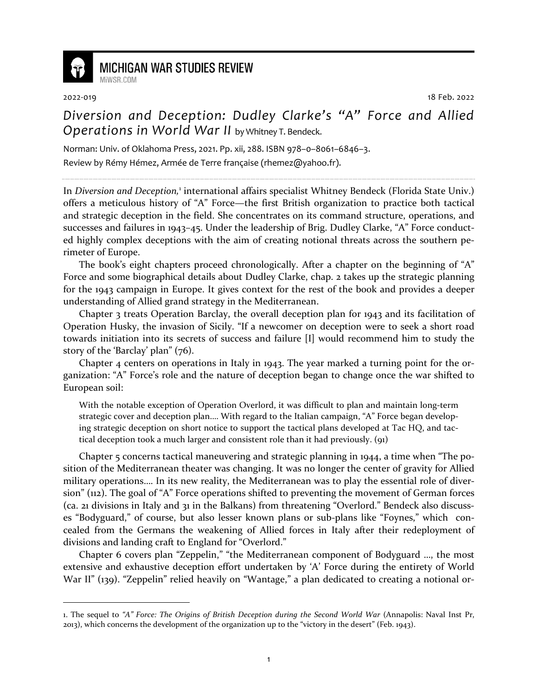

## **MICHIGAN WAR STUDIES REVIEW**

MiWSR COM

2022-019 18 Feb. 2022

## *Diversion and Deception: Dudley Clarke's "A" Force and Allied Operations in World War II* by Whitney T. Bendeck.

Norman: Univ. of Oklahoma Press, 2021. Pp. xii, 288. ISBN 978–0–8061–6846–3.

Review by Rémy Hémez, Armée de Terre française (rhemez@yahoo.fr).

In Diversion and Deception,<sup>1</sup> international affairs specialist Whitney Bendeck (Florida State Univ.) offers a meticulous history of "A" Force—the first British organization to practice both tactical and strategic deception in the field. She concentrates on its command structure, operations, and successes and failures in 1943–45. Under the leadership of Brig. Dudley Clarke, "A" Force conducted highly complex deceptions with the aim of creating notional threats across the southern perimeter of Europe.

The book's eight chapters proceed chronologically. After a chapter on the beginning of "A" Force and some biographical details about Dudley Clarke, chap. 2 takes up the strategic planning for the 1943 campaign in Europe. It gives context for the rest of the book and provides a deeper understanding of Allied grand strategy in the Mediterranean.

Chapter 3 treats Operation Barclay, the overall deception plan for 1943 and its facilitation of Operation Husky, the invasion of Sicily. "If a newcomer on deception were to seek a short road towards initiation into its secrets of success and failure [I] would recommend him to study the story of the 'Barclay' plan" (76).

Chapter 4 centers on operations in Italy in 1943. The year marked a turning point for the organization: "A" Force's role and the nature of deception began to change once the war shifted to European soil:

With the notable exception of Operation Overlord, it was difficult to plan and maintain long-term strategic cover and deception plan.… With regard to the Italian campaign, "A" Force began developing strategic deception on short notice to support the tactical plans developed at Tac HQ, and tactical deception took a much larger and consistent role than it had previously. (91)

Chapter 5 concerns tactical maneuvering and strategic planning in 1944, a time when "The position of the Mediterranean theater was changing. It was no longer the center of gravity for Allied military operations…. In its new reality, the Mediterranean was to play the essential role of diversion" (112). The goal of "A" Force operations shifted to preventing the movement of German forces (ca. 21 divisions in Italy and 31 in the Balkans) from threatening "Overlord." Bendeck also discusses "Bodyguard," of course, but also lesser known plans or sub-plans like "Foynes," which concealed from the Germans the weakening of Allied forces in Italy after their redeployment of divisions and landing craft to England for "Overlord."

Chapter 6 covers plan "Zeppelin," "the Mediterranean component of Bodyguard …, the most extensive and exhaustive deception effort undertaken by 'A' Force during the entirety of World War II" (139). "Zeppelin" relied heavily on "Wantage," a plan dedicated to creating a notional or-

<sup>1.</sup> The sequel to *"A" Force: The Origins of British Deception during the Second World War* (Annapolis: Naval Inst Pr, 2013), which concerns the development of the organization up to the "victory in the desert" (Feb. 1943).